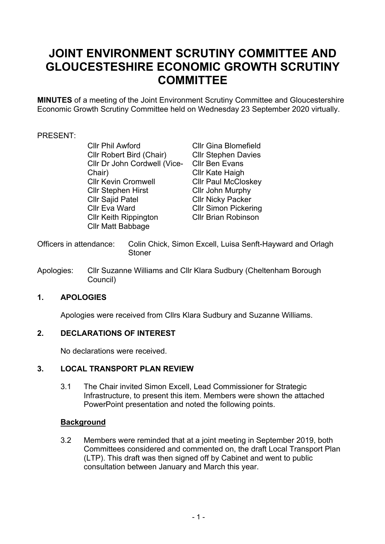# **JOINT ENVIRONMENT SCRUTINY COMMITTEE AND GLOUCESTESHIRE ECONOMIC GROWTH SCRUTINY COMMITTEE**

**MINUTES** of a meeting of the Joint Environment Scrutiny Committee and Gloucestershire Economic Growth Scrutiny Committee held on Wednesday 23 September 2020 virtually.

# PRESENT:

Cllr Phil Awford Cllr Robert Bird (Chair) Cllr Dr John Cordwell (Vice-Chair) Cllr Kevin Cromwell Cllr Stephen Hirst Cllr Sajid Patel Cllr Eva Ward Cllr Keith Rippington Cllr Matt Babbage

Cllr Gina Blomefield Cllr Stephen Davies Cllr Ben Evans Cllr Kate Haigh Cllr Paul McCloskey Cllr John Murphy Cllr Nicky Packer Cllr Simon Pickering Cllr Brian Robinson

- Officers in attendance: Colin Chick, Simon Excell, Luisa Senft-Hayward and Orlagh **Stoner**
- Apologies: Cllr Suzanne Williams and Cllr Klara Sudbury (Cheltenham Borough Council)

# **1. APOLOGIES**

Apologies were received from Cllrs Klara Sudbury and Suzanne Williams.

## **2. DECLARATIONS OF INTEREST**

No declarations were received.

# **3. LOCAL TRANSPORT PLAN REVIEW**

3.1 The Chair invited Simon Excell, Lead Commissioner for Strategic Infrastructure, to present this item. Members were shown the attached PowerPoint presentation and noted the following points.

## **Background**

3.2 Members were reminded that at a joint meeting in September 2019, both Committees considered and commented on, the draft Local Transport Plan (LTP). This draft was then signed off by Cabinet and went to public consultation between January and March this year.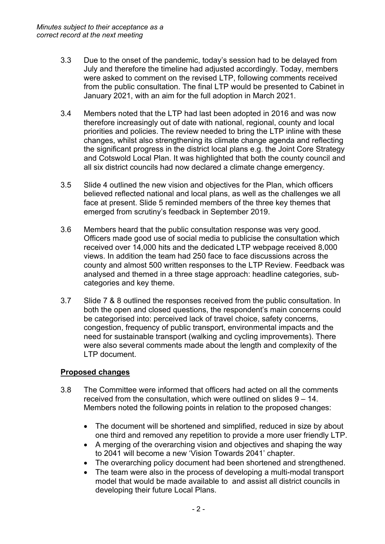- 3.3 Due to the onset of the pandemic, today's session had to be delayed from July and therefore the timeline had adjusted accordingly. Today, members were asked to comment on the revised LTP, following comments received from the public consultation. The final LTP would be presented to Cabinet in January 2021, with an aim for the full adoption in March 2021.
- 3.4 Members noted that the LTP had last been adopted in 2016 and was now therefore increasingly out of date with national, regional, county and local priorities and policies. The review needed to bring the LTP inline with these changes, whilst also strengthening its climate change agenda and reflecting the significant progress in the district local plans e.g. the Joint Core Strategy and Cotswold Local Plan. It was highlighted that both the county council and all six district councils had now declared a climate change emergency.
- 3.5 Slide 4 outlined the new vision and objectives for the Plan, which officers believed reflected national and local plans, as well as the challenges we all face at present. Slide 5 reminded members of the three key themes that emerged from scrutiny's feedback in September 2019.
- 3.6 Members heard that the public consultation response was very good. Officers made good use of social media to publicise the consultation which received over 14,000 hits and the dedicated LTP webpage received 8,000 views. In addition the team had 250 face to face discussions across the county and almost 500 written responses to the LTP Review. Feedback was analysed and themed in a three stage approach: headline categories, subcategories and key theme.
- 3.7 Slide 7 & 8 outlined the responses received from the public consultation. In both the open and closed questions, the respondent's main concerns could be categorised into: perceived lack of travel choice, safety concerns, congestion, frequency of public transport, environmental impacts and the need for sustainable transport (walking and cycling improvements). There were also several comments made about the length and complexity of the LTP document.

# **Proposed changes**

- 3.8 The Committee were informed that officers had acted on all the comments received from the consultation, which were outlined on slides 9 – 14. Members noted the following points in relation to the proposed changes:
	- The document will be shortened and simplified, reduced in size by about one third and removed any repetition to provide a more user friendly LTP.
	- A merging of the overarching vision and objectives and shaping the way to 2041 will become a new 'Vision Towards 2041' chapter.
	- The overarching policy document had been shortened and strengthened.
	- The team were also in the process of developing a multi-modal transport model that would be made available to and assist all district councils in developing their future Local Plans.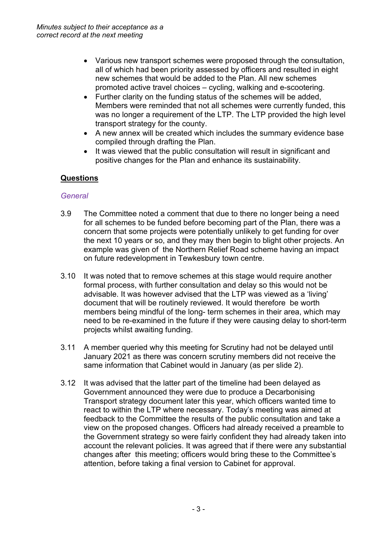- Various new transport schemes were proposed through the consultation, all of which had been priority assessed by officers and resulted in eight new schemes that would be added to the Plan. All new schemes promoted active travel choices – cycling, walking and e-scootering.
- Further clarity on the funding status of the schemes will be added, Members were reminded that not all schemes were currently funded, this was no longer a requirement of the LTP. The LTP provided the high level transport strategy for the county.
- A new annex will be created which includes the summary evidence base compiled through drafting the Plan.
- It was viewed that the public consultation will result in significant and positive changes for the Plan and enhance its sustainability.

# **Questions**

## *General*

- 3.9 The Committee noted a comment that due to there no longer being a need for all schemes to be funded before becoming part of the Plan, there was a concern that some projects were potentially unlikely to get funding for over the next 10 years or so, and they may then begin to blight other projects. An example was given of the Northern Relief Road scheme having an impact on future redevelopment in Tewkesbury town centre.
- 3.10 It was noted that to remove schemes at this stage would require another formal process, with further consultation and delay so this would not be advisable. It was however advised that the LTP was viewed as a 'living' document that will be routinely reviewed. It would therefore be worth members being mindful of the long- term schemes in their area, which may need to be re-examined in the future if they were causing delay to short-term projects whilst awaiting funding.
- 3.11 A member queried why this meeting for Scrutiny had not be delayed until January 2021 as there was concern scrutiny members did not receive the same information that Cabinet would in January (as per slide 2).
- 3.12 It was advised that the latter part of the timeline had been delayed as Government announced they were due to produce a Decarbonising Transport strategy document later this year, which officers wanted time to react to within the LTP where necessary. Today's meeting was aimed at feedback to the Committee the results of the public consultation and take a view on the proposed changes. Officers had already received a preamble to the Government strategy so were fairly confident they had already taken into account the relevant policies. It was agreed that if there were any substantial changes after this meeting; officers would bring these to the Committee's attention, before taking a final version to Cabinet for approval.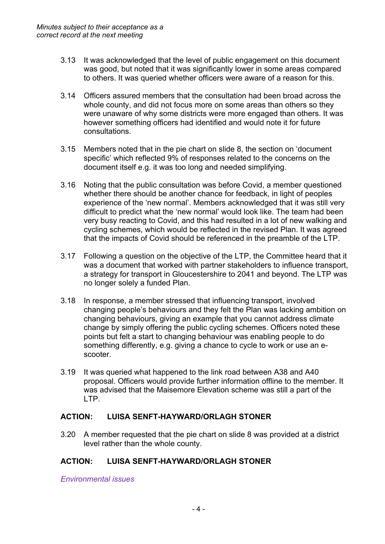- 3.13 It was acknowledged that the level of public engagement on this document was good, but noted that it was significantly lower in some areas compared to others. It was queried whether officers were aware of a reason for this.
- 3.14 Officers assured members that the consultation had been broad across the whole county, and did not focus more on some areas than others so they were unaware of why some districts were more engaged than others. It was however something officers had identified and would note it for future consultations.
- 3.15 Members noted that in the pie chart on slide 8, the section on 'document specific' which reflected 9% of responses related to the concerns on the document itself e.g. it was too long and needed simplifying.
- 3.16 Noting that the public consultation was before Covid, a member questioned whether there should be another chance for feedback, in light of peoples experience of the 'new normal'. Members acknowledged that it was still very difficult to predict what the 'new normal' would look like. The team had been very busy reacting to Covid, and this had resulted in a lot of new walking and cycling schemes, which would be reflected in the revised Plan. It was agreed that the impacts of Covid should be referenced in the preamble of the LTP.
- 3.17 Following a question on the objective of the LTP, the Committee heard that it was a document that worked with partner stakeholders to influence transport, a strategy for transport in Gloucestershire to 2041 and beyond. The LTP was no longer solely a funded Plan.
- 3.18 In response, a member stressed that influencing transport, involved changing people's behaviours and they felt the Plan was lacking ambition on changing behaviours, giving an example that you cannot address climate change by simply offering the public cycling schemes. Officers noted these points but felt a start to changing behaviour was enabling people to do something differently, e.g. giving a chance to cycle to work or use an escooter.
- 3.19 It was queried what happened to the link road between A38 and A40 proposal. Officers would provide further information offline to the member. It was advised that the Maisemore Elevation scheme was still a part of the LTP.

# **ACTION: LUISA SENFT-HAYWARD/ORLAGH STONER**

3.20 A member requested that the pie chart on slide 8 was provided at a district level rather than the whole county.

# **ACTION: LUISA SENFT-HAYWARD/ORLAGH STONER**

*Environmental issues*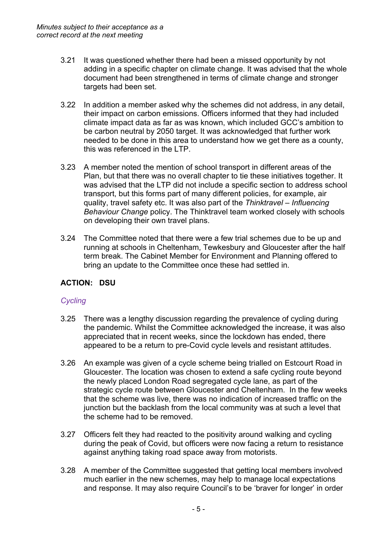- 3.21 It was questioned whether there had been a missed opportunity by not adding in a specific chapter on climate change. It was advised that the whole document had been strengthened in terms of climate change and stronger targets had been set.
- 3.22 In addition a member asked why the schemes did not address, in any detail, their impact on carbon emissions. Officers informed that they had included climate impact data as far as was known, which included GCC's ambition to be carbon neutral by 2050 target. It was acknowledged that further work needed to be done in this area to understand how we get there as a county, this was referenced in the LTP.
- 3.23 A member noted the mention of school transport in different areas of the Plan, but that there was no overall chapter to tie these initiatives together. It was advised that the LTP did not include a specific section to address school transport, but this forms part of many different policies, for example, air quality, travel safety etc. It was also part of the *Thinktravel – Influencing Behaviour Change* policy. The Thinktravel team worked closely with schools on developing their own travel plans.
- 3.24 The Committee noted that there were a few trial schemes due to be up and running at schools in Cheltenham, Tewkesbury and Gloucester after the half term break. The Cabinet Member for Environment and Planning offered to bring an update to the Committee once these had settled in.

# **ACTION: DSU**

# *Cycling*

- 3.25 There was a lengthy discussion regarding the prevalence of cycling during the pandemic. Whilst the Committee acknowledged the increase, it was also appreciated that in recent weeks, since the lockdown has ended, there appeared to be a return to pre-Covid cycle levels and resistant attitudes.
- 3.26 An example was given of a cycle scheme being trialled on Estcourt Road in Gloucester. The location was chosen to extend a safe cycling route beyond the newly placed London Road segregated cycle lane, as part of the strategic cycle route between Gloucester and Cheltenham. In the few weeks that the scheme was live, there was no indication of increased traffic on the junction but the backlash from the local community was at such a level that the scheme had to be removed.
- 3.27 Officers felt they had reacted to the positivity around walking and cycling during the peak of Covid, but officers were now facing a return to resistance against anything taking road space away from motorists.
- 3.28 A member of the Committee suggested that getting local members involved much earlier in the new schemes, may help to manage local expectations and response. It may also require Council's to be 'braver for longer' in order